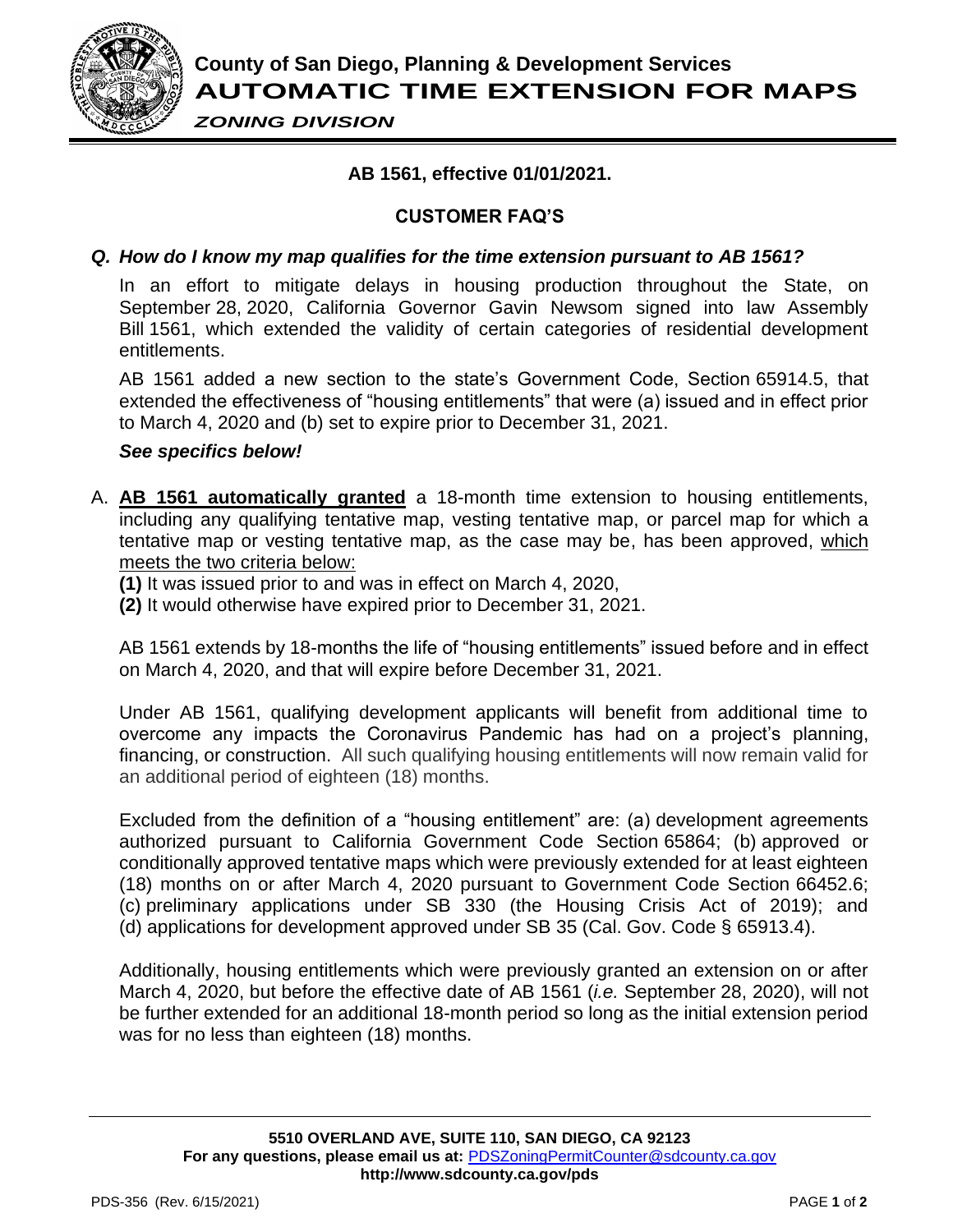

*ZONING DIVISION*

# **AB 1561, effective 01/01/2021.**

# **CUSTOMER FAQ'S**

### *Q. How do I know my map qualifies for the time extension pursuant to AB 1561?*

In an effort to mitigate delays in housing production throughout the State, on September 28, 2020, California Governor Gavin Newsom signed into law Assembly Bill 1561, which extended the validity of certain categories of residential development entitlements.

AB 1561 added a new section to the state's Government Code, Section 65914.5, that extended the effectiveness of "housing entitlements" that were (a) issued and in effect prior to March 4, 2020 and (b) set to expire prior to December 31, 2021.

#### *See specifics below!*

- A. **AB 1561 automatically granted** a 18-month time extension to housing entitlements, including any qualifying tentative map, vesting tentative map, or parcel map for which a tentative map or vesting tentative map, as the case may be, has been approved, which meets the two criteria below:
	- **(1)** It was issued prior to and was in effect on March 4, 2020,
	- **(2)** It would otherwise have expired prior to December 31, 2021.

AB 1561 extends by 18-months the life of "housing entitlements" issued before and in effect on March 4, 2020, and that will expire before December 31, 2021.

Under AB 1561, qualifying development applicants will benefit from additional time to overcome any impacts the Coronavirus Pandemic has had on a project's planning, financing, or construction. All such qualifying housing entitlements will now remain valid for an additional period of eighteen (18) months.

Excluded from the definition of a "housing entitlement" are: (a) development agreements authorized pursuant to California Government Code Section 65864; (b) approved or conditionally approved tentative maps which were previously extended for at least eighteen (18) months on or after March 4, 2020 pursuant to Government Code Section 66452.6; (c) preliminary applications under SB 330 (the Housing Crisis Act of 2019); and (d) applications for development approved under SB 35 (Cal. Gov. Code § 65913.4).

Additionally, housing entitlements which were previously granted an extension on or after March 4, 2020, but before the effective date of AB 1561 (*i.e.* September 28, 2020), will not be further extended for an additional 18-month period so long as the initial extension period was for no less than eighteen (18) months.